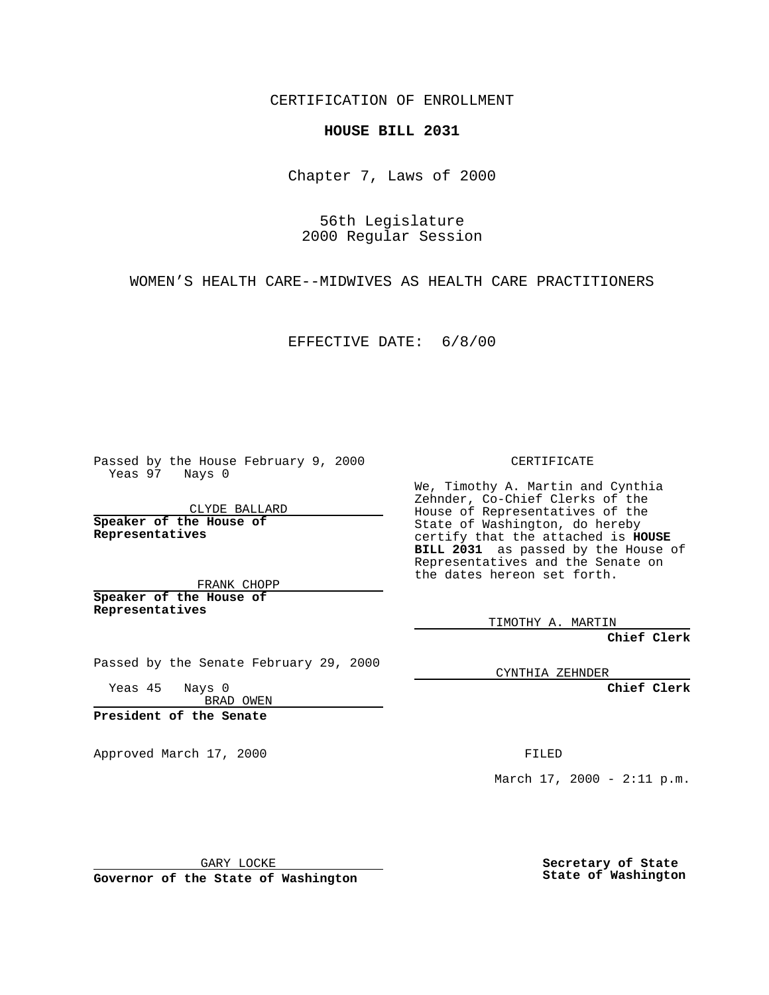CERTIFICATION OF ENROLLMENT

## **HOUSE BILL 2031**

Chapter 7, Laws of 2000

56th Legislature 2000 Regular Session

WOMEN'S HEALTH CARE--MIDWIVES AS HEALTH CARE PRACTITIONERS

EFFECTIVE DATE: 6/8/00

Passed by the House February 9, 2000 Yeas 97 Nays 0

CLYDE BALLARD **Speaker of the House of Representatives**

FRANK CHOPP **Speaker of the House of Representatives**

Passed by the Senate February 29, 2000

Yeas 45 Nays 0 BRAD OWEN

**President of the Senate**

Approved March 17, 2000 FILED

CERTIFICATE

We, Timothy A. Martin and Cynthia Zehnder, Co-Chief Clerks of the House of Representatives of the State of Washington, do hereby certify that the attached is **HOUSE BILL 2031** as passed by the House of Representatives and the Senate on the dates hereon set forth.

TIMOTHY A. MARTIN

**Chief Clerk**

CYNTHIA ZEHNDER

**Chief Clerk**

March  $17, 2000 - 2:11 p.m.$ 

GARY LOCKE

**Governor of the State of Washington**

**Secretary of State State of Washington**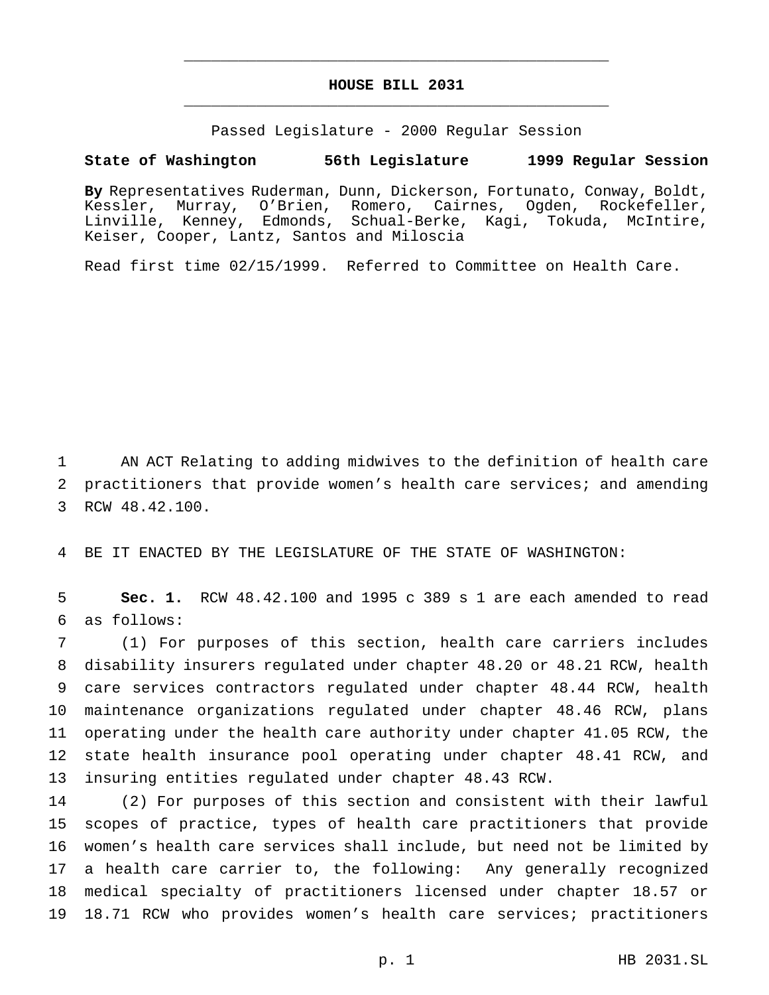## **HOUSE BILL 2031** \_\_\_\_\_\_\_\_\_\_\_\_\_\_\_\_\_\_\_\_\_\_\_\_\_\_\_\_\_\_\_\_\_\_\_\_\_\_\_\_\_\_\_\_\_\_\_

\_\_\_\_\_\_\_\_\_\_\_\_\_\_\_\_\_\_\_\_\_\_\_\_\_\_\_\_\_\_\_\_\_\_\_\_\_\_\_\_\_\_\_\_\_\_\_

Passed Legislature - 2000 Regular Session

## **State of Washington 56th Legislature 1999 Regular Session**

**By** Representatives Ruderman, Dunn, Dickerson, Fortunato, Conway, Boldt, Kessler, Murray, O'Brien, Romero, Cairnes, Ogden, Rockefeller, Linville, Kenney, Edmonds, Schual-Berke, Kagi, Tokuda, McIntire, Keiser, Cooper, Lantz, Santos and Miloscia

Read first time 02/15/1999. Referred to Committee on Health Care.

 AN ACT Relating to adding midwives to the definition of health care practitioners that provide women's health care services; and amending RCW 48.42.100.

BE IT ENACTED BY THE LEGISLATURE OF THE STATE OF WASHINGTON:

 **Sec. 1.** RCW 48.42.100 and 1995 c 389 s 1 are each amended to read as follows:

 (1) For purposes of this section, health care carriers includes disability insurers regulated under chapter 48.20 or 48.21 RCW, health care services contractors regulated under chapter 48.44 RCW, health maintenance organizations regulated under chapter 48.46 RCW, plans operating under the health care authority under chapter 41.05 RCW, the state health insurance pool operating under chapter 48.41 RCW, and insuring entities regulated under chapter 48.43 RCW.

 (2) For purposes of this section and consistent with their lawful scopes of practice, types of health care practitioners that provide women's health care services shall include, but need not be limited by a health care carrier to, the following: Any generally recognized medical specialty of practitioners licensed under chapter 18.57 or 18.71 RCW who provides women's health care services; practitioners